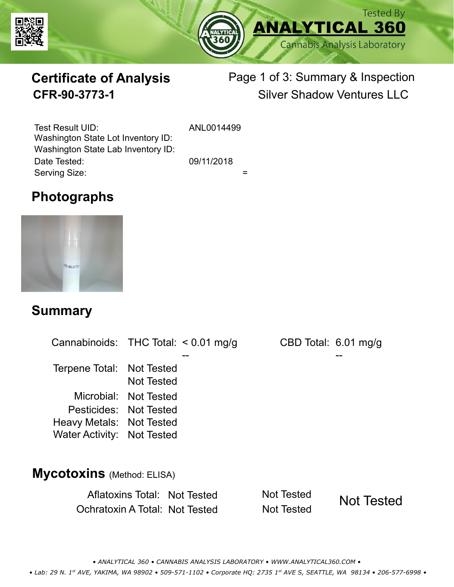



# **Certificate of Analysis**

# Page 1 of 3: Summary & Inspection **CFR-90-3773-1** Silver Shadow Ventures LLC

Serving Size:  $=$ Test Result UID: ANL0014499 Date Tested: 09/11/2018 Washington State Lot Inventory ID: Washington State Lab Inventory ID:

# **Photographs**



### **Summary**

Cannabinoids: THC Total:  $< 0.01$  mg/g Terpene Total: Not Tested Microbial: Not Tested CBD Total: 6.01 mg/g Pesticides: Not Tested Heavy Metals: Not Tested -- -- Not Tested Water Activity: Not Tested **Mycotoxins** (Method: ELISA)

> Aflatoxins Total: Not Tested Not Tested Ochratoxin A Total: Not Tested Not Tested Not Tested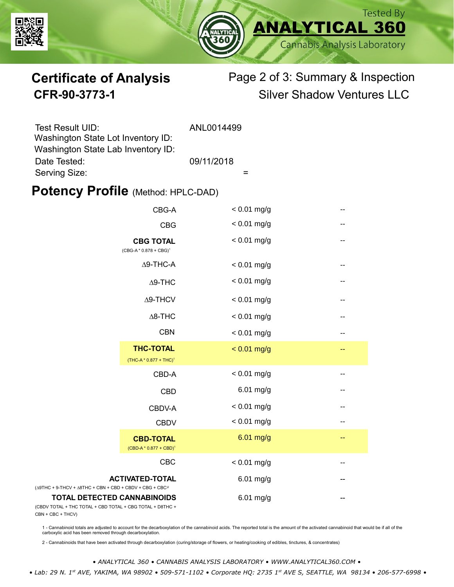



# **Certificate of Analysis** Page 2 of 3: Summary & Inspection **CFR-90-3773-1** Silver Shadow Ventures LLC

| Test Result UID:                   | ANL0014499 |
|------------------------------------|------------|
| Washington State Lot Inventory ID: |            |
| Washington State Lab Inventory ID: |            |
| Date Tested:                       | 09/11/2018 |
| Serving Size:                      |            |

### **Potency Profile (Method: HPLC-DAD)**

|                                                                                                               | CBG-A                                                  | $< 0.01$ mg/g | -- |
|---------------------------------------------------------------------------------------------------------------|--------------------------------------------------------|---------------|----|
|                                                                                                               | <b>CBG</b>                                             | $< 0.01$ mg/g | -- |
|                                                                                                               | <b>CBG TOTAL</b><br>$(CBG-A * 0.878 + CBG)^1$          | $< 0.01$ mg/g | -- |
|                                                                                                               | $\Delta$ 9-THC-A                                       | $< 0.01$ mg/g | -- |
|                                                                                                               | $\Delta$ 9-THC                                         | $< 0.01$ mg/g | -- |
|                                                                                                               | $\Delta$ 9-THCV                                        | $< 0.01$ mg/g | -- |
|                                                                                                               | $\Delta$ 8-THC                                         | $< 0.01$ mg/g | -- |
|                                                                                                               | <b>CBN</b>                                             | $< 0.01$ mg/g | -- |
|                                                                                                               | <b>THC-TOTAL</b><br>(THC-A * 0.877 + THC) <sup>1</sup> | $< 0.01$ mg/g | -- |
|                                                                                                               | CBD-A                                                  | $< 0.01$ mg/g | -- |
|                                                                                                               | <b>CBD</b>                                             | 6.01 mg/g     | -- |
|                                                                                                               | CBDV-A                                                 | $< 0.01$ mg/g | -- |
|                                                                                                               | <b>CBDV</b>                                            | $< 0.01$ mg/g | -- |
|                                                                                                               | <b>CBD-TOTAL</b><br>$(CBD-A * 0.877 + CBD)^1$          | $6.01$ mg/g   | -- |
|                                                                                                               | <b>CBC</b>                                             | $< 0.01$ mg/g |    |
| <b>ACTIVATED-TOTAL</b><br>$(\Delta$ 9THC + 9-THCV + $\Delta$ 8THC + CBN + CBD + CBDV + CBG + CBC <sup>2</sup> |                                                        | $6.01$ mg/g   |    |
| <b>TOTAL DETECTED CANNABINOIDS</b><br>(CBDV TOTAL + THC TOTAL + CBD TOTAL + CBG TOTAL + D8THC +               |                                                        | $6.01$ mg/g   |    |

(CBDV TOTAL + THC TOTAL CBN + CBC + THCV)

1 - Cannabinoid totals are adjusted to account for the decarboxylation of the cannabinoid acids. The reported total is the amount of the activated cannabinoid that would be if all of the<br>carboxylic acid has been removed th

2 - Cannabinoids that have been activated through decarboxylation (curing/storage of flowers, or heating/cooking of edibles, tinctures, & concentrates)

*• ANALYTICAL 360 • CANNABIS ANALYSIS LABORATORY • WWW.ANALYTICAL360.COM •*

 *• Lab: 29 N. 1st AVE, YAKIMA, WA 98902 • 509-571-1102 • Corporate HQ: 2735 1st AVE S, SEATTLE, WA 98134 • 206-577-6998 •*